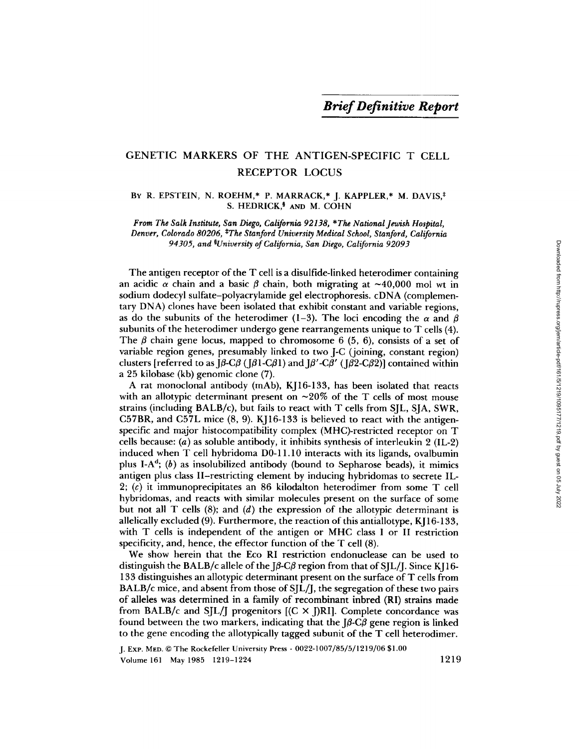# GENETIC MARKERS OF THE ANTIGEN-SPECIFIC T CELL RECEPTOR LOCUS

## BY R. EPSTEIN, N. ROEHM,\* P. MARRACK,\* J. KAPPLER,\* M. DAVIS,\* S. HEDRICK,<sup>§</sup> AND M. COHN

*From The Salk Institute, San Diego, California 92138, \*The National Jewish Hospital, Denver, Colorado 80206, \*The Stanford University Medical School, Stanford, California 94305, and §University of California, San Diego, California 92093* 

The antigen receptor of the T cell is a disulfide-linked heterodimer containing an acidic  $\alpha$  chain and a basic  $\beta$  chain, both migrating at ~40,000 mol wt in sodium dodecyl sulfate-polyacrylamide gel electrophoresis, cDNA (complementary DNA) clones have been isolated that exhibit constant and variable regions, as do the subunits of the heterodimer (1-3). The loci encoding the  $\alpha$  and  $\beta$ subunits of the heterodimer undergo gene rearrangements unique to T cells (4). The  $\beta$  chain gene locus, mapped to chromosome 6 (5, 6), consists of a set of variable region genes, presumably linked to two J-C (joining, constant region) clusters [referred to as  $J\beta$ -C $\beta$  ( $J\beta$ 1-C $\beta$ 1) and  $J\beta'$ -C $\beta'$  ( $J\beta$ 2-C $\beta$ 2)] contained within a 25 kilobase (kb) genomic clone (7).

A rat monoclonal antibody (mAb), KJ16-133, has been isolated that reacts with an allotypic determinant present on  $\sim 20\%$  of the T cells of most mouse strains (including BALB/c), but fails to react with T cells from SJL, SJA, SWR, C57BR, and C57L mice (8, 9). KJ16-133 is believed to react with the antigenspecific and major histocompatibility complex (MHC)-restricted receptor on T cells because:  $(a)$  as soluble antibody, it inhibits synthesis of interleukin 2 (IL-2) induced when T cell hybridoma D0-11.10 interacts with its ligands, ovalbumin plus I-A<sup>d</sup>; (b) as insolubilized antibody (bound to Sepharose beads), it mimics antigen plus class II-restricting element by inducing hybridomas to secrete IL-2; (c) it immunoprecipitates an 86 kilodalton heterodimer from some T cell hybridomas, and reacts with similar molecules present on the surface of some but not all T cells  $(8)$ ; and  $(d)$  the expression of the allotypic determinant is allelically excluded (9). Furthermore, the reaction of this antiallotype, KJ 16-133, with T cells is independent of the antigen or MHC class I or II restriction specificity, and, hence, the effector function of the T cell (8).

We show herein that the Eco RI restriction endonuclease can be used to distinguish the BALB/c allele of the J $\beta$ -C $\beta$  region from that of SJL/J. Since KJ16-133 distinguishes an allotypic determinant present on the surface of T cells from BALB/c mice, and absent from those of SJL/J, the segregation of these two pairs of alleles was determined in a family of recombinant inbred (RI) strains made from BALB/c and SJL/J progenitors  $[(C \times I)R]$ . Complete concordance was found between the two markers, indicating that the  $J\beta$ -C $\beta$  gene region is linked to the gene encoding the allotypically tagged subunit of the T cell heterodimer.

J. ExP. MED. © The Rockefeller University Press . *0022-1007/85/5/1219/06* \$1.00 Volume 161 May 1985 1219-1224 1219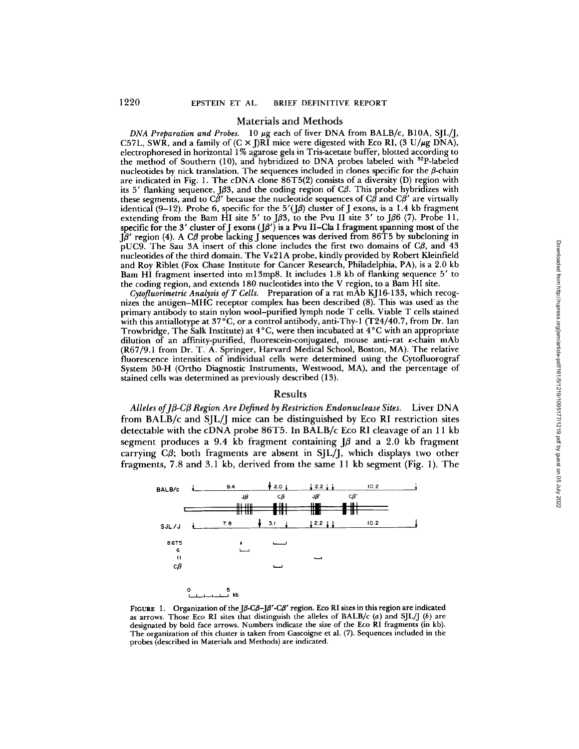#### Materials and Methods

*DNA Preparation and Probes.* 10  $\mu$ g each of liver DNA from BALB/c, B10A, SJL/J, C57L, SWR, and a family of  $(C \times I)R\overline{I}$  mice were digested with Eco RI,  $(3 \text{ U}/\mu g \text{ DNA})$ , electrophoresed in horizontal 1% agarose gels in Tris-acetate buffer, blotted according to the method of Southern (10), and hybridized to DNA probes labeled with  $^{32}P$ -labeled nucleotides by nick translation. The sequences included in clones specific for the  $\beta$ -chain are indicated in Fig. 1. The cDNA clone 86T5(2) consists of a diversity (D) region with its 5' flanking sequence, J $\beta$ 3, and the coding region of C $\beta$ . This probe hybridizes with these segments, and to C $\beta'$  because the nucleotide sequences of C $\beta$  and C $\beta'$  are virtually identical (9-12). Probe 6, specific for the  $5'(J\beta)$  cluster of J exons, is a 1.4 kb fragment extending from the Bam HI site 5' to  $\beta$ 3, to the Pvu II site 3' to  $\beta$ 6 (7). Probe 11, specific for the 3' cluster of J exons ( $J\beta'$ ) is a Pvu II–Cla I fragment spanning most of the  $J\beta'$  region (4). A C $\beta$  probe lacking J sequences was derived from 86T5 by subcloning in pUC9. The Sau 3A insert of this clone includes the first two domains of  $C\beta$ , and 43 nucleotides of the third domain. The  $Vx21A$  probe, kindly provided by Robert Kleinfield and Roy Riblet (Fox Chase Institute for Cancer Research, Philadelphia, PA), is a 2.0 kb Bam HI fragment inserted into ml3mp8. It includes 1.8 kh of flanking sequence 5' to the coding region, and extends 180 nucleotides into the V region, to a Bam HI site.

*Cytofluorimetrie Analysis of T Cells.* Preparation of a rat mAb KJ 16-133, which recognizes the antigen-MHC receptor complex has been described (8). This was used'as the primary antibody to stain nylon wool-purified lymph node T cells. Viable T cells stained with this antiallotype at  $37^{\circ}$ C, or a control antibody, anti-Thy-1 (T24/40.7, from Dr. Ian Trowbridge, The Salk Institute) at  $4^{\circ}$ C, were then incubated at  $4^{\circ}$ C with an appropriate dilution of an affinity-purified, fluorescein-conjugated, mouse anti-rat  $\kappa$ -chain mAb (R67/9.1 from Dr. T. A. Springer, Harvard Medical School, Boston, MA). The relative fluorescence intensities of individual cells were determined using the Cytofluorograf System 50-H (Ortho Diagnostic Instruments, Westwood, MA), and the percentage of stained cells was determined as previously described (13).

#### Results

Alleles of *J*β-Cβ Region Are Defined by Restriction Endonuclease Sites. Liver DNA from BALB/c and SJL/J mice can be distinguished by Eco RI restriction sites detectable with the cDNA probe 86T5. In BALB/c Eco RI cleavage of an 11 kb segment produces a 9.4 kb fragment containing  $\beta$  and a 2.0 kb fragment carrying  $C\beta$ ; both fragments are absent in SJL/J, which displays two other fragments, 7.8 and 3.1 kb, derived from the same 11 kb segment (Fig. 1). The



FIGURE 1. Organization of the J $\beta$ -C $\beta$ -J $\beta$ '-C $\beta$ ' region. Eco RI sites in this region are indicated as arrows. Those Eco RI sites that distinguish the alleles of BALB/c  $(a)$  and *SJL/J*  $(b)$  are designated by bold face arrows. Numbers indicate the size of the Eco RI fragments (in kb). The organization of this cluster is taken from Gascoigne eta]. (7). Sequences included in the probes (described in Materials and Methods) are indicated.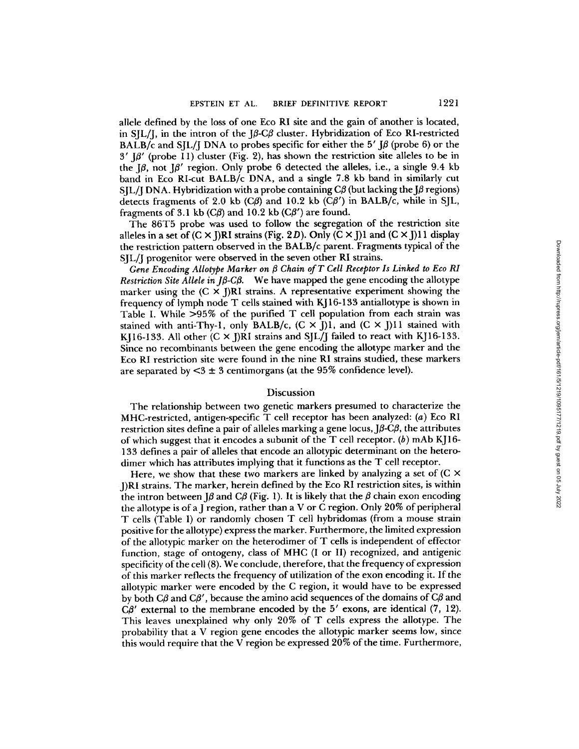allele defined by the loss of one Eco RI site and the gain of another is located, in SJL/J, in the intron of the *J3-C3* cluster. Hybridization of Eco RI-restricted BALB/c and SIL/J DNA to probes specific for either the 5'  $\beta$  (probe 6) or the  $3'$  J $\beta'$  (probe 11) cluster (Fig. 2), has shown the restriction site alleles to be in the  $\beta$ , not  $\beta'$  region. Only probe 6 detected the alleles, i.e., a single 9.4 kb band in Eco RI-cut BALB/c DNA, and a single 7.8 kb band in similarly cut SJL/J DNA. Hybridization with a probe containing  $C\beta$  (but lacking the J $\beta$  regions) detects fragments of 2.0 kb  $(C\beta)$  and 10.2 kb  $(C\beta')$  in BALB/c, while in SJL, fragments of 3.1 kb  $(C\beta)$  and 10.2 kb  $(C\beta')$  are found.

The 86T5 probe was used to follow the segregation of the restriction site alleles in a set of  $(C \times I)R$ I strains (Fig. 2D). Only  $(C \times I)$ l and  $(C \times I)$ l 1 display the restriction pattern observed in the BALB/c parent. Fragments typical of the SJL/J progenitor were observed in the seven other RI strains.

*Gene Encoding AUotype Marker on 3 Chain of T Cell Receptor Is Linked to Eco RI Restriction Site Allele in Jβ-Cβ.* We have mapped the gene encoding the allotype marker using the  $(C \times I)$ RI strains. A representative experiment showing the frequency of lymph node T cells stained with KJ16-133 antiallotype is shown in Table I. While >95% of the purified T cell population from each strain was stained with anti-Thy-1, only BALB/c,  $(C \times J)$ 1, and  $(C \times J)$ 11 stained with KI16-133. All other  $(C \times I)$ RI strains and SIL/J failed to react with KJ16-133. Since no recombinants between the gene encoding the allotype marker and the Eco RI restriction site were found in the nine RI strains studied, these markers are separated by  $<$ 3  $\pm$  3 centimorgans (at the 95% confidence level).

## Discussion

The relationship between two genetic markers presumed to characterize the MHC-restricted, antigen-specific T cell receptor has been analyzed: (a) Eco RI restriction sites define a pair of alleles marking a gene locus,  $J\beta$ -C $\beta$ , the attributes of which suggest that it encodes a subunit of the T cell receptor.  $(b)$  mAb KJ16-133 defines a pair of alleles that encode an allotypic determinant on the heterodimer which has attributes implying that it functions as the T cell receptor.

Here, we show that these two markers are linked by analyzing a set of  $(C \times C)$ J)RI strains. The marker, herein defined by the Eco RI restriction sites, is within the intron between  $\beta$  and  $\beta$  (Fig. 1). It is likely that the  $\beta$  chain exon encoding the allotype is of a J region, rather than a V or C region. Only 20% of peripheral T cells (Table I) or randomly chosen T cell hybridomas (from a mouse strain positive for the allotype) express the marker. Furthermore, the limited expression of the allotypic marker on the heterodimer of T cells is independent of effector function, stage of ontogeny, class of MHC (I or II) recognized, and antigenic specificity of the cell (8). We conclude, therefore, that the frequency of expression of this marker reflects the frequency of utilization of the exon encoding it. If the ailotypic marker were encoded by the C region, it would have to be expressed by both C $\beta$  and C $\beta'$ , because the amino acid sequences of the domains of C $\beta$  and  $C\beta'$  external to the membrane encoded by the 5' exons, are identical (7, 12). This leaves unexplained why only 20% of T cells express the allotype. The probability that a V region gene encodes the ailotypic marker seems low, since this would require that the V region be expressed 20% of the time. Furthermore,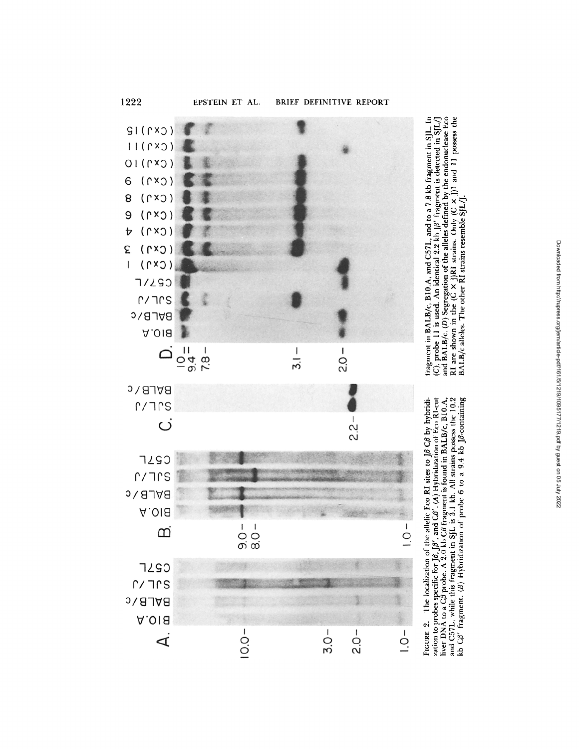

**sa~:**  N "" ,-- • **'~ ~ = \$**   $\frac{1}{2}$ g $\frac{1}{2}$ g $\frac{1}{2}$ **"~,.~ , ~--** 

fragment in BALB/c, B10.A, and C57L, and to a 7.8 kb fragment in SJL. In (C), probe 11 is used. An identical 2.2 kb J $\beta'$  fragment is detected in SJL/J and BALB/c. (D) Segregation of the alleles defined by the endonuclea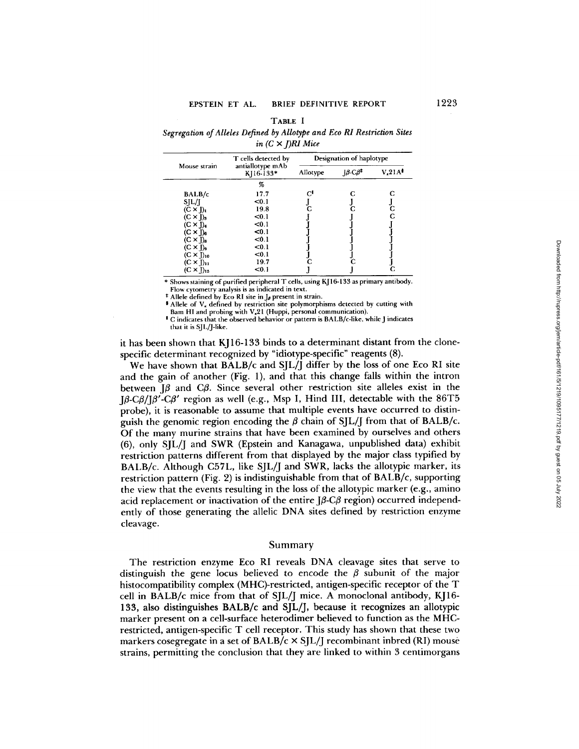| TABLE 1                                                                 |  |
|-------------------------------------------------------------------------|--|
| Segregation of Alleles Defined by Allotype and Eco RI Restriction Sites |  |
| in $(C \times I)$ RI Mice                                               |  |

|                     | T cells detected by<br>antiallotype mAb<br>K <sub>16</sub> -133* | Designation of haplotype |                                                                                        |                                 |
|---------------------|------------------------------------------------------------------|--------------------------|----------------------------------------------------------------------------------------|---------------------------------|
| Mouse strain        |                                                                  | Allotype                 | $\mathbf{J}\boldsymbol{\beta}\text{-}\mathbf{C}\boldsymbol{\beta}^{\mathbf{\ddagger}}$ | V <sub>4</sub> 21A <sup>3</sup> |
|                     | %                                                                |                          |                                                                                        |                                 |
| BALB/c              | 17.7                                                             | G,                       |                                                                                        |                                 |
| SIL/I               | < 0.1                                                            |                          |                                                                                        |                                 |
| $(C \times I)_I$    | 19.8                                                             | C                        |                                                                                        |                                 |
| $(C \times I)_3$    | $0.1$                                                            |                          |                                                                                        | C                               |
| $(C \times J)_4$    | < 0.1                                                            |                          |                                                                                        |                                 |
| $(C \times J)_6$    | < 0.1                                                            |                          |                                                                                        |                                 |
| $(C \times J)_8$    | $0.1$                                                            |                          |                                                                                        |                                 |
| $(C \times J)$      | $0.1$                                                            |                          |                                                                                        |                                 |
| $(C \times J)_{10}$ | $0.1$                                                            |                          |                                                                                        |                                 |
| $(C \times J)_H$    | 19.7                                                             |                          |                                                                                        |                                 |
| $(C \times J)_{15}$ | $0.1$                                                            |                          |                                                                                        |                                 |

\* Shows staining of purified peripheral T cells, using KJ 16-133 as primary antibody. Flow cytometry analysis is as indicated in text.

 $*$  Allele defined by Eco RI site in J<sub>ø</sub> present in strain.

 $\bullet$  Allele of  $V_{\star}$  defined by restriction site polymorphisms detected by cutting with Barn HI and probing with V,21 (Huppi, personal communication).

! C indicates that the observed behavior or pattern is BALB/c-like, while J indicates that it is SJL/J-like.

it has been shown that KJ 16-133 binds to a determinant distant from the clonespecific determinant recognized by "idiotype-specific" reagents (8).

We have shown that  $BALB/c$  and  $SIL/I$  differ by the loss of one Eco RI site and the gain of another (Fig. 1), and that this change falls within the intron between  $\beta$  and C $\beta$ . Since several other restriction site alleles exist in the  $J\beta$ -C $\beta$ / $J\beta$ '-C $\beta$ ' region as well (e.g., Msp I, Hind III, detectable with the 86T5 probe), it is reasonable to assume that multiple events have occurred to distinguish the genomic region encoding the  $\beta$  chain of SJL/J from that of BALB/c. Of the many murine strains that have been examined by ourselves and others (6), only SjL/j and SWR (Epstein and Kanagawa, unpublished data) exhibit restriction patterns different from that displayed by the major class typified by BALB/c. Although C57L, like S[L/J and SWR, lacks the allotypic marker, its restriction pattern (Fig. 2) is indistinguishable from that of BALB/c, supporting the view that the events resulting in the loss of the allotypic marker (e.g., amino acid replacement or inactivation of the entire  $J\beta$ -C $\beta$  region) occurred independently of those generating the allelic DNA sites defined by restriction enzyme cleavage.

#### Summary

The restriction enzyme Eco RI reveals DNA cleavage sites that serve to distinguish the gene locus believed to encode the  $\beta$  subunit of the major histocompatibility complex (MHC)-restricted, antigen-specific receptor of the T cell in BALB/c mice from that of SJL/J mice. A monoclonai antibody, KJ16- 133, also distinguishes BALB/c and SJL/J, because it recognizes an allotypic marker present on a cell-surface heterodimer believed to function as the MHCrestricted, antigen-specific T cell receptor. This study has shown that these two markers cosegregate in a set of  $BALB/c \times SIL/I$  recombinant inbred (RI) mouse strains, permitting the conclusion that they are linked to within 3 centimorgans